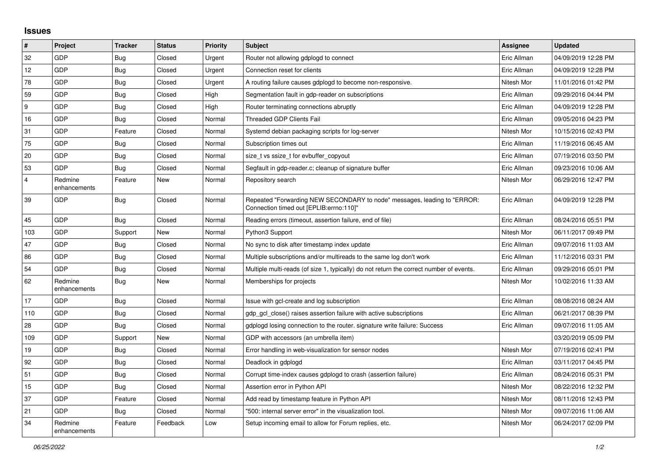## **Issues**

| $\vert$ #      | Project                 | <b>Tracker</b> | <b>Status</b> | <b>Priority</b> | <b>Subject</b>                                                                                                      | <b>Assignee</b> | <b>Updated</b>      |
|----------------|-------------------------|----------------|---------------|-----------------|---------------------------------------------------------------------------------------------------------------------|-----------------|---------------------|
| 32             | GDP                     | <b>Bug</b>     | Closed        | Urgent          | Router not allowing gdplogd to connect                                                                              | Eric Allman     | 04/09/2019 12:28 PM |
| 12             | GDP                     | <b>Bug</b>     | Closed        | Urgent          | Connection reset for clients                                                                                        | Eric Allman     | 04/09/2019 12:28 PM |
| 78             | GDP                     | Bug            | Closed        | Urgent          | A routing failure causes gdplogd to become non-responsive.                                                          | Nitesh Mor      | 11/01/2016 01:42 PM |
| 59             | GDP                     | Bug            | Closed        | High            | Segmentation fault in gdp-reader on subscriptions                                                                   | Eric Allman     | 09/29/2016 04:44 PM |
| 9              | GDP                     | Bug            | Closed        | High            | Router terminating connections abruptly                                                                             | Eric Allman     | 04/09/2019 12:28 PM |
| 16             | GDP                     | Bug            | Closed        | Normal          | <b>Threaded GDP Clients Fail</b>                                                                                    | Eric Allman     | 09/05/2016 04:23 PM |
| 31             | <b>GDP</b>              | Feature        | Closed        | Normal          | Systemd debian packaging scripts for log-server                                                                     | Nitesh Mor      | 10/15/2016 02:43 PM |
| 75             | GDP                     | Bug            | Closed        | Normal          | Subscription times out                                                                                              | Eric Allman     | 11/19/2016 06:45 AM |
| 20             | GDP                     | <b>Bug</b>     | Closed        | Normal          | size t vs ssize t for evbuffer copyout                                                                              | Eric Allman     | 07/19/2016 03:50 PM |
| 53             | <b>GDP</b>              | <b>Bug</b>     | Closed        | Normal          | Segfault in gdp-reader.c; cleanup of signature buffer                                                               | Eric Allman     | 09/23/2016 10:06 AM |
| $\overline{4}$ | Redmine<br>enhancements | Feature        | <b>New</b>    | Normal          | Repository search                                                                                                   | Nitesh Mor      | 06/29/2016 12:47 PM |
| 39             | GDP                     | <b>Bug</b>     | Closed        | Normal          | Repeated "Forwarding NEW SECONDARY to node" messages, leading to "ERROR:<br>Connection timed out [EPLIB:errno:110]" | Eric Allman     | 04/09/2019 12:28 PM |
| 45             | <b>GDP</b>              | <b>Bug</b>     | Closed        | Normal          | Reading errors (timeout, assertion failure, end of file)                                                            | Eric Allman     | 08/24/2016 05:51 PM |
| 103            | GDP                     | Support        | <b>New</b>    | Normal          | Python3 Support                                                                                                     | Nitesh Mor      | 06/11/2017 09:49 PM |
| 47             | GDP                     | Bug            | Closed        | Normal          | No sync to disk after timestamp index update                                                                        | Eric Allman     | 09/07/2016 11:03 AM |
| 86             | GDP                     | Bug            | Closed        | Normal          | Multiple subscriptions and/or multireads to the same log don't work                                                 | Eric Allman     | 11/12/2016 03:31 PM |
| 54             | <b>GDP</b>              | Bug            | Closed        | Normal          | Multiple multi-reads (of size 1, typically) do not return the correct number of events.                             | Eric Allman     | 09/29/2016 05:01 PM |
| 62             | Redmine<br>enhancements | Bug            | New           | Normal          | Memberships for projects                                                                                            | Nitesh Mor      | 10/02/2016 11:33 AM |
| 17             | GDP                     | Bug            | Closed        | Normal          | Issue with gcl-create and log subscription                                                                          | Eric Allman     | 08/08/2016 08:24 AM |
| 110            | GDP                     | <b>Bug</b>     | Closed        | Normal          | gdp gcl close() raises assertion failure with active subscriptions                                                  | Eric Allman     | 06/21/2017 08:39 PM |
| 28             | GDP                     | Bug            | Closed        | Normal          | gdplogd losing connection to the router. signature write failure: Success                                           | Eric Allman     | 09/07/2016 11:05 AM |
| 109            | <b>GDP</b>              | Support        | New           | Normal          | GDP with accessors (an umbrella item)                                                                               |                 | 03/20/2019 05:09 PM |
| 19             | <b>GDP</b>              | <b>Bug</b>     | Closed        | Normal          | Error handling in web-visualization for sensor nodes                                                                | Nitesh Mor      | 07/19/2016 02:41 PM |
| 92             | GDP                     | <b>Bug</b>     | Closed        | Normal          | Deadlock in gdplogd                                                                                                 | Eric Allman     | 03/11/2017 04:45 PM |
| 51             | <b>GDP</b>              | Bug            | Closed        | Normal          | Corrupt time-index causes gdplogd to crash (assertion failure)                                                      | Eric Allman     | 08/24/2016 05:31 PM |
| 15             | GDP                     | Bug            | Closed        | Normal          | Assertion error in Python API                                                                                       | Nitesh Mor      | 08/22/2016 12:32 PM |
| 37             | GDP                     | Feature        | Closed        | Normal          | Add read by timestamp feature in Python API                                                                         | Nitesh Mor      | 08/11/2016 12:43 PM |
| 21             | <b>GDP</b>              | Bug            | Closed        | Normal          | "500: internal server error" in the visualization tool.                                                             | Nitesh Mor      | 09/07/2016 11:06 AM |
| 34             | Redmine<br>enhancements | Feature        | Feedback      | Low             | Setup incoming email to allow for Forum replies, etc.                                                               | Nitesh Mor      | 06/24/2017 02:09 PM |